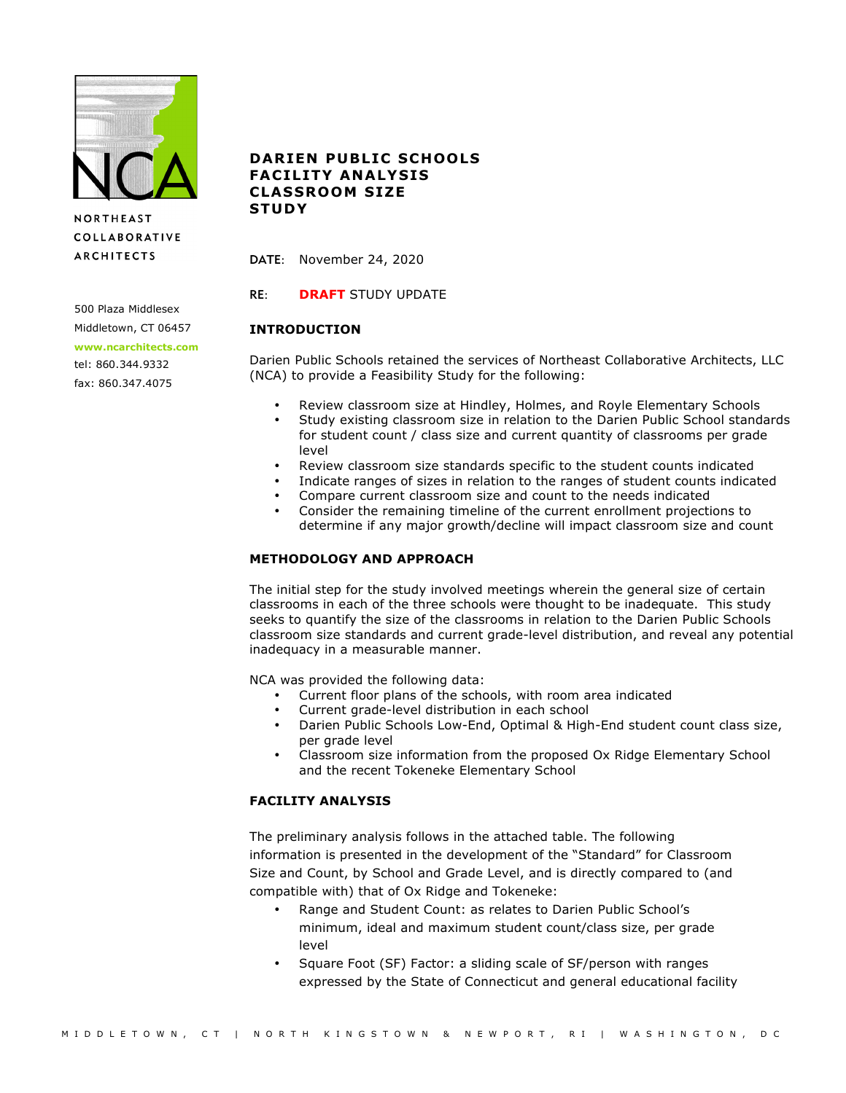

**NORTHEAST COLLABORATIVE ARCHITECTS** 

500 Plaza Middlesex Middletown, CT 06457

**www.ncarchitects.com**

tel: 860.344.9332 fax: 860.347.4075

# **DARIEN PUBLIC SCHOOLS FACILITY ANALYSIS CLASSROOM SIZE STUDY**

DATE: November 24, 2020

RE: **DRAFT** STUDY UPDATE

# **INTRODUCTION**

Darien Public Schools retained the services of Northeast Collaborative Architects, LLC (NCA) to provide a Feasibility Study for the following:

- Review classroom size at Hindley, Holmes, and Royle Elementary Schools
- Study existing classroom size in relation to the Darien Public School standards for student count / class size and current quantity of classrooms per grade level
- Review classroom size standards specific to the student counts indicated
- Indicate ranges of sizes in relation to the ranges of student counts indicated
- Compare current classroom size and count to the needs indicated
- Consider the remaining timeline of the current enrollment projections to determine if any major growth/decline will impact classroom size and count

## **METHODOLOGY AND APPROACH**

The initial step for the study involved meetings wherein the general size of certain classrooms in each of the three schools were thought to be inadequate. This study seeks to quantify the size of the classrooms in relation to the Darien Public Schools classroom size standards and current grade-level distribution, and reveal any potential inadequacy in a measurable manner.

NCA was provided the following data:

- Current floor plans of the schools, with room area indicated
- Current grade-level distribution in each school
- Darien Public Schools Low-End, Optimal & High-End student count class size, per grade level
- Classroom size information from the proposed Ox Ridge Elementary School and the recent Tokeneke Elementary School

# **FACILITY ANALYSIS**

The preliminary analysis follows in the attached table. The following information is presented in the development of the "Standard" for Classroom Size and Count, by School and Grade Level, and is directly compared to (and compatible with) that of Ox Ridge and Tokeneke:

- Range and Student Count: as relates to Darien Public School's minimum, ideal and maximum student count/class size, per grade level
- Square Foot (SF) Factor: a sliding scale of SF/person with ranges expressed by the State of Connecticut and general educational facility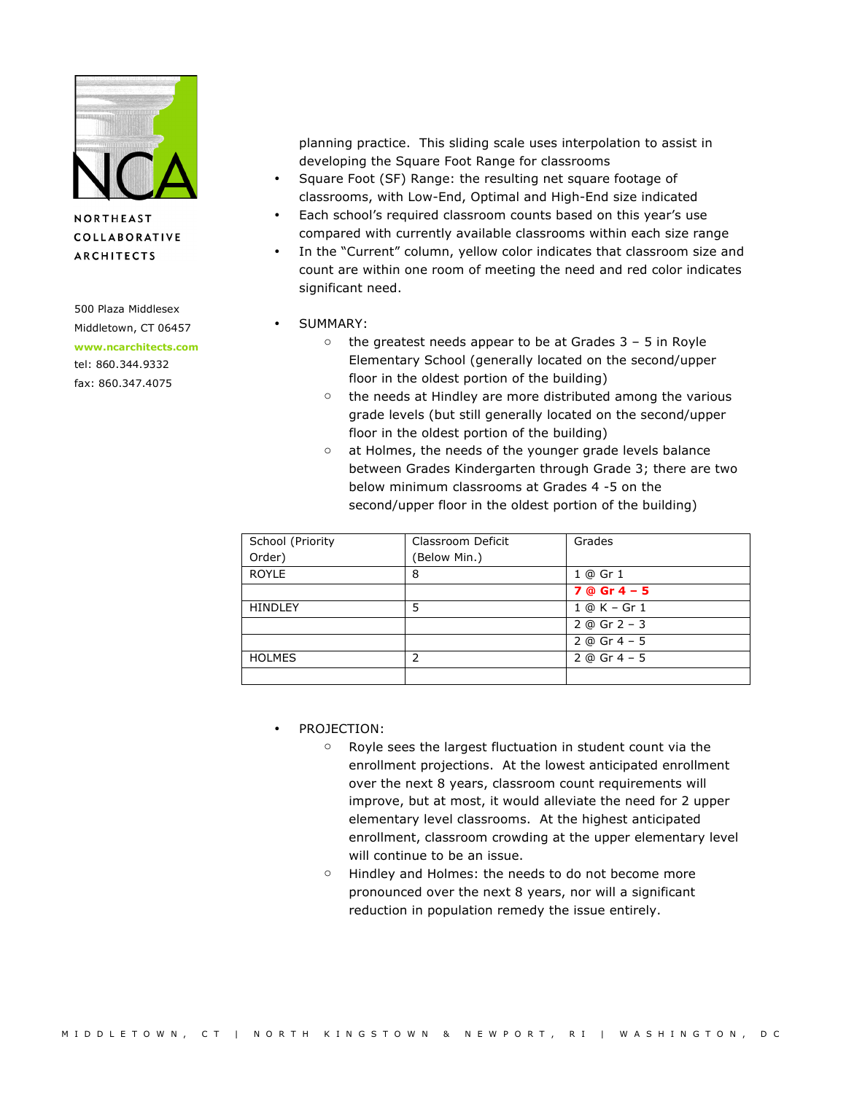

**NORTHEAST COLLABORATIVE ARCHITECTS** 

500 Plaza Middlesex Middletown, CT 06457 **www.ncarchitects.com** tel: 860.344.9332 fax: 860.347.4075

planning practice. This sliding scale uses interpolation to assist in developing the Square Foot Range for classrooms

- Square Foot (SF) Range: the resulting net square footage of classrooms, with Low-End, Optimal and High-End size indicated
- Each school's required classroom counts based on this year's use compared with currently available classrooms within each size range
- In the "Current" column, yellow color indicates that classroom size and count are within one room of meeting the need and red color indicates significant need.
- SUMMARY:
	- $\circ$  the greatest needs appear to be at Grades 3 5 in Royle Elementary School (generally located on the second/upper floor in the oldest portion of the building)
	- o the needs at Hindley are more distributed among the various grade levels (but still generally located on the second/upper floor in the oldest portion of the building)
	- o at Holmes, the needs of the younger grade levels balance between Grades Kindergarten through Grade 3; there are two below minimum classrooms at Grades 4 -5 on the second/upper floor in the oldest portion of the building)

| School (Priority | Classroom Deficit | Grades           |
|------------------|-------------------|------------------|
| Order)           | (Below Min.)      |                  |
| <b>ROYLE</b>     | 8                 | 1 @ Gr 1         |
|                  |                   | $7@Gr4-5$        |
| <b>HINDLEY</b>   | 5                 | 1 @ K - Gr 1     |
|                  |                   | $2 @$ Gr $2 - 3$ |
|                  |                   | $2 @$ Gr 4 - 5   |
| <b>HOLMES</b>    | 2                 | $2 @$ Gr 4 - 5   |
|                  |                   |                  |

• PROJECTION:

- o Royle sees the largest fluctuation in student count via the enrollment projections. At the lowest anticipated enrollment over the next 8 years, classroom count requirements will improve, but at most, it would alleviate the need for 2 upper elementary level classrooms. At the highest anticipated enrollment, classroom crowding at the upper elementary level will continue to be an issue.
- o Hindley and Holmes: the needs to do not become more pronounced over the next 8 years, nor will a significant reduction in population remedy the issue entirely.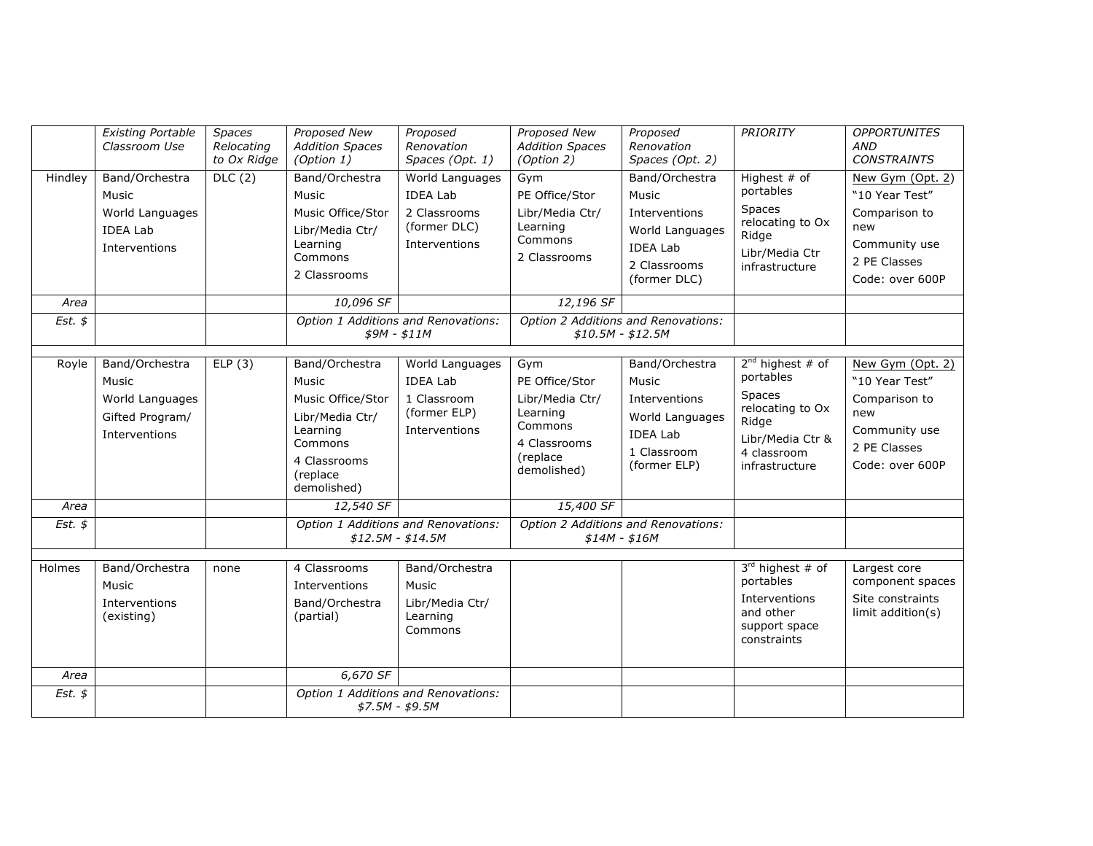|                            | <b>Existing Portable</b><br>Classroom Use                                      | Spaces<br>Relocating<br>to Ox Ridge | <b>Proposed New</b><br><b>Addition Spaces</b><br>(Option 1)                                                                                    | Proposed<br>Renovation<br>Spaces (Opt. 1)                                                                                                      | <b>Proposed New</b><br><b>Addition Spaces</b><br>(Option 2)                                                             | Proposed<br>Renovation<br>Spaces (Opt. 2)                                                                                                                             | <b>PRIORITY</b>                                                                                                                       | <b>OPPORTUNITES</b><br><b>AND</b><br><b>CONSTRAINTS</b>                                                        |
|----------------------------|--------------------------------------------------------------------------------|-------------------------------------|------------------------------------------------------------------------------------------------------------------------------------------------|------------------------------------------------------------------------------------------------------------------------------------------------|-------------------------------------------------------------------------------------------------------------------------|-----------------------------------------------------------------------------------------------------------------------------------------------------------------------|---------------------------------------------------------------------------------------------------------------------------------------|----------------------------------------------------------------------------------------------------------------|
| Hindley                    | Band/Orchestra<br>Music<br>World Languages<br><b>IDEA Lab</b><br>Interventions | DLC(2)                              | Band/Orchestra<br>Music<br>Music Office/Stor<br>Libr/Media Ctr/<br>Learning<br>Commons<br>2 Classrooms                                         | World Languages<br><b>IDEA Lab</b><br>2 Classrooms<br>(former DLC)<br>Interventions                                                            | Gym<br>PE Office/Stor<br>Libr/Media Ctr/<br>Learning<br>Commons<br>2 Classrooms                                         | Band/Orchestra<br>Music<br>Interventions<br>World Languages<br><b>IDEA Lab</b><br>2 Classrooms<br>(former DLC)                                                        | Highest $#$ of<br>portables<br>Spaces<br>relocating to Ox<br>Ridge<br>Libr/Media Ctr<br>infrastructure                                | New Gym (Opt. 2)<br>"10 Year Test"<br>Comparison to<br>new<br>Community use<br>2 PE Classes<br>Code: over 600P |
| Area                       |                                                                                |                                     | 10,096 SF                                                                                                                                      |                                                                                                                                                | 12,196 SF                                                                                                               |                                                                                                                                                                       |                                                                                                                                       |                                                                                                                |
| $Est.$ \$                  |                                                                                |                                     |                                                                                                                                                | Option 1 Additions and Renovations:<br>$$9M - $11M$                                                                                            |                                                                                                                         | Option 2 Additions and Renovations:<br>$$10.5M - $12.5M$                                                                                                              |                                                                                                                                       |                                                                                                                |
| Royle<br>Area<br>$Est.$ \$ | Band/Orchestra<br>Music<br>World Languages<br>Gifted Program/<br>Interventions | ELP(3)                              | Band/Orchestra<br>Music<br>Music Office/Stor<br>Libr/Media Ctr/<br>Learning<br>Commons<br>4 Classrooms<br>(replace<br>demolished)<br>12,540 SF | World Languages<br><b>IDEA Lab</b><br>1 Classroom<br>(former ELP)<br>Interventions<br>Option 1 Additions and Renovations:<br>$$12.5M - $14.5M$ | Gym<br>PE Office/Stor<br>Libr/Media Ctr/<br>Learning<br>Commons<br>4 Classrooms<br>(replace<br>demolished)<br>15,400 SF | Band/Orchestra<br>Music<br>Interventions<br>World Languages<br><b>IDEA Lab</b><br>1 Classroom<br>(former ELP)<br>Option 2 Additions and Renovations:<br>$$14M - $16M$ | $2^{nd}$ highest # of<br>portables<br><b>Spaces</b><br>relocating to Ox<br>Ridge<br>Libr/Media Ctr &<br>4 classroom<br>infrastructure | New Gym (Opt. 2)<br>"10 Year Test"<br>Comparison to<br>new<br>Community use<br>2 PE Classes<br>Code: over 600P |
| Holmes                     | Band/Orchestra<br>Music<br>Interventions<br>(existing)                         | none                                | 4 Classrooms<br>Interventions<br>Band/Orchestra<br>(partial)                                                                                   | Band/Orchestra<br>Music<br>Libr/Media Ctr/<br>Learning<br>Commons                                                                              |                                                                                                                         |                                                                                                                                                                       | $3rd$ highest # of<br>portables<br>Interventions<br>and other<br>support space<br>constraints                                         | Largest core<br>component spaces<br>Site constraints<br>limit addition(s)                                      |
| Area                       |                                                                                |                                     | 6,670 SF                                                                                                                                       |                                                                                                                                                |                                                                                                                         |                                                                                                                                                                       |                                                                                                                                       |                                                                                                                |
| Est. $$$                   |                                                                                |                                     |                                                                                                                                                | Option 1 Additions and Renovations:<br>$$7.5M - $9.5M$                                                                                         |                                                                                                                         |                                                                                                                                                                       |                                                                                                                                       |                                                                                                                |